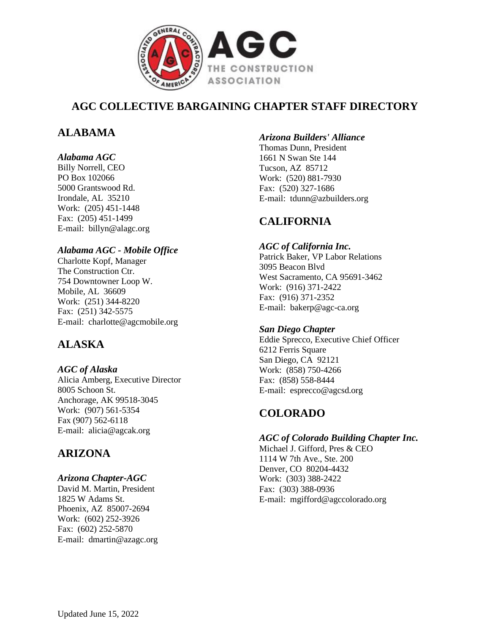

# **AGC COLLECTIVE BARGAINING CHAPTER STAFF DIRECTORY**

# **ALABAMA**

### *Alabama AGC*

Billy Norrell, CEO PO Box 102066 5000 Grantswood Rd. Irondale, AL 35210 Work: (205) 451-1448 Fax: (205) 451-1499 E-mail: billyn@alagc.org

### *Alabama AGC - Mobile Office*

Charlotte Kopf, Manager The Construction Ctr. 754 Downtowner Loop W. Mobile, AL 36609 Work: (251) 344-8220 Fax: (251) 342-5575 E-mail: charlotte@agcmobile.org

# **ALASKA**

*AGC of Alaska* Alicia Amberg, Executive Director 8005 Schoon St. Anchorage, AK 99518-3045 Work: (907) 561-5354 Fax (907) 562-6118 E-mail: alicia@agcak.org

# **ARIZONA**

### *Arizona Chapter-AGC*

David M. Martin, President 1825 W Adams St. Phoenix, AZ 85007-2694 Work: (602) 252-3926 Fax: (602) 252-5870 E-mail: dmartin@azagc.org

### *Arizona Builders' Alliance*

Thomas Dunn, President 1661 N Swan Ste 144 Tucson, AZ 85712 Work: (520) 881-7930 Fax: (520) 327-1686 E-mail: tdunn@azbuilders.org

# **CALIFORNIA**

## *AGC of California Inc.*

Patrick Baker, VP Labor Relations 3095 Beacon Blvd West Sacramento, CA 95691-3462 Work: (916) 371-2422 Fax: (916) 371-2352 E-mail: bakerp@agc-ca.org

## *San Diego Chapter*

Eddie Sprecco, Executive Chief Officer 6212 Ferris Square San Diego, CA 92121 Work: (858) 750-4266 Fax: (858) 558-8444 E-mail: esprecco@agcsd.org

# **COLORADO**

## *AGC of Colorado Building Chapter Inc.*

Michael J. Gifford, Pres & CEO 1114 W 7th Ave., Ste. 200 Denver, CO 80204-4432 Work: (303) 388-2422 Fax: (303) 388-0936 E-mail: mgifford@agccolorado.org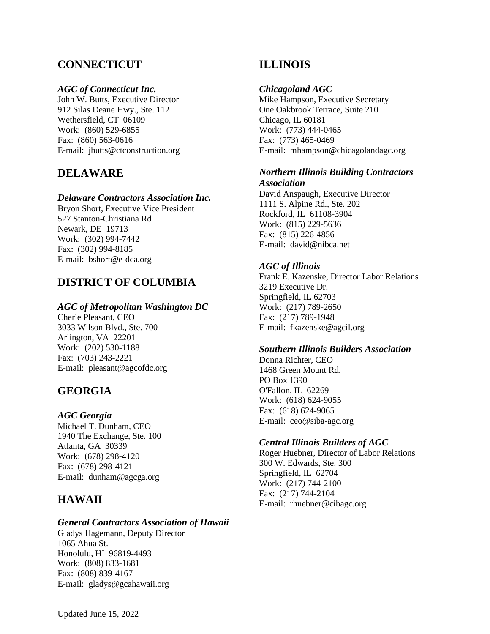## **CONNECTICUT**

### *AGC of Connecticut Inc.*

John W. Butts, Executive Director 912 Silas Deane Hwy., Ste. 112 Wethersfield, CT 06109 Work: (860) 529-6855 Fax: (860) 563-0616 E-mail: jbutts@ctconstruction.org

## **DELAWARE**

### *Delaware Contractors Association Inc.*

Bryon Short, Executive Vice President 527 Stanton-Christiana Rd Newark, DE 19713 Work: (302) 994-7442 Fax: (302) 994-8185 E-mail: bshort@e-dca.org

## **DISTRICT OF COLUMBIA**

### *AGC of Metropolitan Washington DC*

Cherie Pleasant, CEO 3033 Wilson Blvd., Ste. 700 Arlington, VA 22201 Work: (202) 530-1188 Fax: (703) 243-2221 E-mail: pleasant@agcofdc.org

## **GEORGIA**

#### *AGC Georgia*

Michael T. Dunham, CEO 1940 The Exchange, Ste. 100 Atlanta, GA 30339 Work: (678) 298-4120 Fax: (678) 298-4121 E-mail: dunham@agcga.org

## **HAWAII**

#### *General Contractors Association of Hawaii*

Gladys Hagemann, Deputy Director 1065 Ahua St. Honolulu, HI 96819-4493 Work: (808) 833-1681 Fax: (808) 839-4167 E-mail: gladys@gcahawaii.org

## **ILLINOIS**

### *Chicagoland AGC*

Mike Hampson, Executive Secretary One Oakbrook Terrace, Suite 210 Chicago, IL 60181 Work: (773) 444-0465 Fax: (773) 465-0469 E-mail: mhampson@chicagolandagc.org

### *Northern Illinois Building Contractors Association*

David Anspaugh, Executive Director 1111 S. Alpine Rd., Ste. 202 Rockford, IL 61108-3904 Work: (815) 229-5636 Fax: (815) 226-4856 E-mail: david@nibca.net

### *AGC of Illinois*

Frank E. Kazenske, Director Labor Relations 3219 Executive Dr. Springfield, IL 62703 Work: (217) 789-2650 Fax: (217) 789-1948 E-mail: fkazenske@agcil.org

#### *Southern Illinois Builders Association*

Donna Richter, CEO 1468 Green Mount Rd. PO Box 1390 O'Fallon, IL 62269 Work: (618) 624-9055 Fax: (618) 624-9065 E-mail: ceo@siba-agc.org

### *Central Illinois Builders of AGC*

Roger Huebner, Director of Labor Relations 300 W. Edwards, Ste. 300 Springfield, IL 62704 Work: (217) 744-2100 Fax: (217) 744-2104 E-mail: rhuebner@cibagc.org

Updated June 15, 2022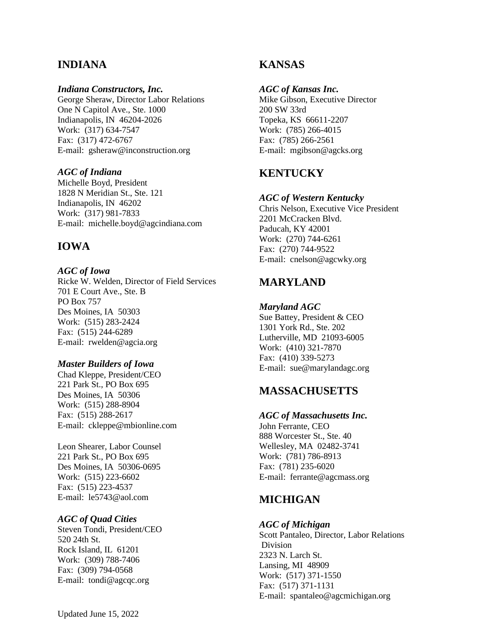## **INDIANA**

#### *Indiana Constructors, Inc.*

George Sheraw, Director Labor Relations One N Capitol Ave., Ste. 1000 Indianapolis, IN 46204-2026 Work: (317) 634-7547 Fax: (317) 472-6767 E-mail: gsheraw@inconstruction.org

#### *AGC of Indiana*

Michelle Boyd, President 1828 N Meridian St., Ste. 121 Indianapolis, IN 46202 Work: (317) 981-7833 E-mail: michelle.boyd@agcindiana.com

## **IOWA**

#### *AGC of Iowa*

Ricke W. Welden, Director of Field Services 701 E Court Ave., Ste. B PO Box 757 Des Moines, IA 50303 Work: (515) 283-2424 Fax: (515) 244-6289 E-mail: rwelden@agcia.org

#### *Master Builders of Iowa*

Chad Kleppe, President/CEO 221 Park St., PO Box 695 Des Moines, IA 50306 Work: (515) 288-8904 Fax: (515) 288-2617 E-mail: ckleppe@mbionline.com

Leon Shearer, Labor Counsel 221 Park St., PO Box 695 Des Moines, IA 50306-0695 Work: (515) 223-6602 Fax: (515) 223-4537 E-mail: le5743@aol.com

#### *AGC of Quad Cities*

Steven Tondi, President/CEO 520 24th St. Rock Island, IL 61201 Work: (309) 788-7406 Fax: (309) 794-0568 E-mail: tondi@agcqc.org

## **KANSAS**

#### *AGC of Kansas Inc.*

Mike Gibson, Executive Director 200 SW 33rd Topeka, KS 66611-2207 Work: (785) 266-4015 Fax: (785) 266-2561 E-mail: mgibson@agcks.org

## **KENTUCKY**

#### *AGC of Western Kentucky*

Chris Nelson, Executive Vice President 2201 McCracken Blvd. Paducah, KY 42001 Work: (270) 744-6261 Fax: (270) 744-9522 E-mail: cnelson@agcwky.org

## **MARYLAND**

#### *Maryland AGC*

Sue Battey, President & CEO 1301 York Rd., Ste. 202 Lutherville, MD 21093-6005 Work: (410) 321-7870 Fax: (410) 339-5273 E-mail: sue@marylandagc.org

## **MASSACHUSETTS**

#### *AGC of Massachusetts Inc.*

John Ferrante, CEO 888 Worcester St., Ste. 40 Wellesley, MA 02482-3741 Work: (781) 786-8913 Fax: (781) 235-6020 E-mail: ferrante@agcmass.org

## **MICHIGAN**

#### *AGC of Michigan*

Scott Pantaleo, Director, Labor Relations Division 2323 N. Larch St. Lansing, MI 48909 Work: (517) 371-1550 Fax: (517) 371-1131 E-mail: spantaleo@agcmichigan.org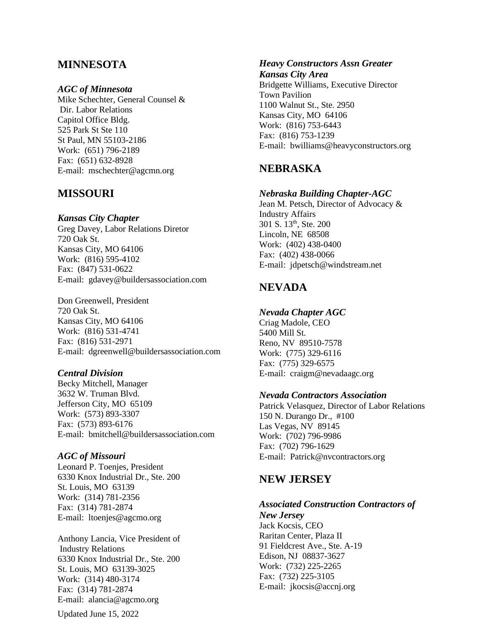## **MINNESOTA**

#### *AGC of Minnesota*

Mike Schechter, General Counsel & Dir. Labor Relations Capitol Office Bldg. 525 Park St Ste 110 St Paul, MN 55103-2186 Work: (651) 796-2189 Fax: (651) 632-8928 E-mail: mschechter@agcmn.org

### **MISSOURI**

#### *Kansas City Chapter*

Greg Davey, Labor Relations Diretor 720 Oak St. Kansas City, MO 64106 Work: (816) 595-4102 Fax: (847) 531-0622 E-mail: gdavey@buildersassociation.com

Don Greenwell, President 720 Oak St. Kansas City, MO 64106 Work: (816) 531-4741 Fax: (816) 531-2971 E-mail: dgreenwell@buildersassociation.com

#### *Central Division*

Becky Mitchell, Manager 3632 W. Truman Blvd. Jefferson City, MO 65109 Work: (573) 893-3307 Fax: (573) 893-6176 E-mail: bmitchell@buildersassociation.com

#### *AGC of Missouri*

Leonard P. Toenjes, President 6330 Knox Industrial Dr., Ste. 200 St. Louis, MO 63139 Work: (314) 781-2356 Fax: (314) 781-2874 E-mail: ltoenjes@agcmo.org

Anthony Lancia, Vice President of Industry Relations 6330 Knox Industrial Dr., Ste. 200 St. Louis, MO 63139-3025 Work: (314) 480-3174 Fax: (314) 781-2874 E-mail: alancia@agcmo.org

#### *Heavy Constructors Assn Greater Kansas City Area*

Bridgette Williams, Executive Director Town Pavilion 1100 Walnut St., Ste. 2950 Kansas City, MO 64106 Work: (816) 753-6443 Fax: (816) 753-1239 E-mail: bwilliams@heavyconstructors.org

## **NEBRASKA**

#### *Nebraska Building Chapter-AGC*

Jean M. Petsch, Director of Advocacy & Industry Affairs 301 S. 13<sup>th</sup>, Ste. 200 Lincoln, NE 68508 Work: (402) 438-0400 Fax: (402) 438-0066 E-mail: jdpetsch@windstream.net

## **NEVADA**

#### *Nevada Chapter AGC*

Criag Madole, CEO 5400 Mill St. Reno, NV 89510-7578 Work: (775) 329-6116 Fax: (775) 329-6575 E-mail: craigm@nevadaagc.org

#### *Nevada Contractors Association*

Patrick Velasquez, Director of Labor Relations 150 N. Durango Dr., #100 Las Vegas, NV 89145 Work: (702) 796-9986 Fax: (702) 796-1629 E-mail: Patrick@nvcontractors.org

### **NEW JERSEY**

#### *Associated Construction Contractors of*

*New Jersey* Jack Kocsis, CEO Raritan Center, Plaza II 91 Fieldcrest Ave., Ste. A-19 Edison, NJ 08837-3627 Work: (732) 225-2265 Fax: (732) 225-3105 E-mail: jkocsis@accnj.org

Updated June 15, 2022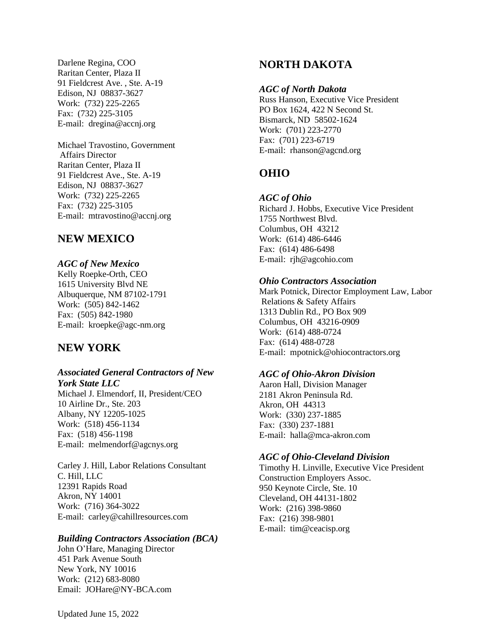Darlene Regina, COO Raritan Center, Plaza II 91 Fieldcrest Ave. , Ste. A-19 Edison, NJ 08837-3627 Work: (732) 225-2265 Fax: (732) 225-3105 E-mail: dregina@accnj.org

Michael Travostino, Government Affairs Director Raritan Center, Plaza II 91 Fieldcrest Ave., Ste. A-19 Edison, NJ 08837-3627 Work: (732) 225-2265 Fax: (732) 225-3105 E-mail: [mtravostino@accnj.org](mailto:mtravostino@accnj.org)

## **NEW MEXICO**

### *AGC of New Mexico*

Kelly Roepke-Orth, CEO 1615 University Blvd NE Albuquerque, NM 87102-1791 Work: (505) 842-1462 Fax: (505) 842-1980 E-mail: kroepke@agc-nm.org

## **NEW YORK**

### *Associated General Contractors of New York State LLC*

Michael J. Elmendorf, II, President/CEO 10 Airline Dr., Ste. 203 Albany, NY 12205-1025 Work: (518) 456-1134 Fax: (518) 456-1198 E-mail: melmendorf@agcnys.org

Carley J. Hill, Labor Relations Consultant C. Hill, LLC 12391 Rapids Road Akron, NY 14001 Work: (716) 364-3022 E-mail: carley@cahillresources.com

### *Building Contractors Association (BCA)*

John O'Hare, Managing Director 451 Park Avenue South New York, NY 10016 Work: (212) 683-8080 Email: JOHare@NY-BCA.com

## **NORTH DAKOTA**

#### *AGC of North Dakota*

Russ Hanson, Executive Vice President PO Box 1624, 422 N Second St. Bismarck, ND 58502-1624 Work: (701) 223-2770 Fax: (701) 223-6719 E-mail: rhanson@agcnd.org

## **OHIO**

### *AGC of Ohio*

Richard J. Hobbs, Executive Vice President 1755 Northwest Blvd. Columbus, OH 43212 Work: (614) 486-6446 Fax: (614) 486-6498 E-mail: rjh@agcohio.com

#### *Ohio Contractors Association*

Mark Potnick, Director Employment Law, Labor Relations & Safety Affairs 1313 Dublin Rd., PO Box 909 Columbus, OH 43216-0909 Work: (614) 488-0724 Fax: (614) 488-0728 E-mail: mpotnick@ohiocontractors.org

#### *AGC of Ohio-Akron Division*

Aaron Hall, Division Manager 2181 Akron Peninsula Rd. Akron, OH 44313 Work: (330) 237-1885 Fax: (330) 237-1881 E-mail: halla@mca-akron.com

#### *AGC of Ohio-Cleveland Division*

Timothy H. Linville, Executive Vice President Construction Employers Assoc. 950 Keynote Circle, Ste. 10 Cleveland, OH 44131-1802 Work: (216) 398-9860 Fax: (216) 398-9801 E-mail: tim@ceacisp.org

Updated June 15, 2022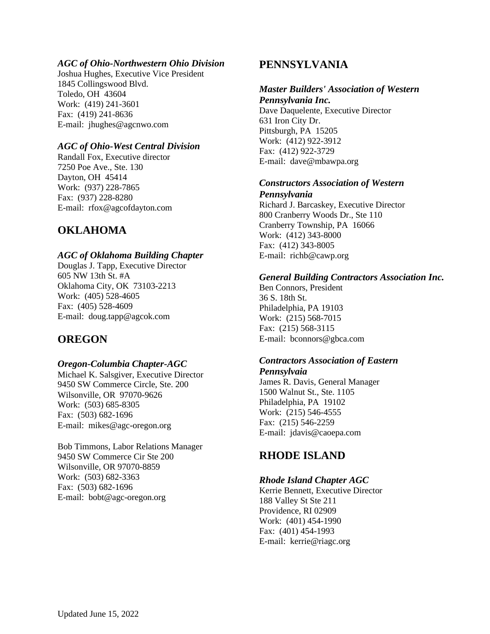### *AGC of Ohio-Northwestern Ohio Division*

Joshua Hughes, Executive Vice President 1845 Collingswood Blvd. Toledo, OH 43604 Work: (419) 241-3601 Fax: (419) 241-8636 E-mail: jhughes@agcnwo.com

### *AGC of Ohio-West Central Division*

Randall Fox, Executive director 7250 Poe Ave., Ste. 130 Dayton, OH 45414 Work: (937) 228-7865 Fax: (937) 228-8280 E-mail: rfox@agcofdayton.com

## **OKLAHOMA**

### *AGC of Oklahoma Building Chapter*

Douglas J. Tapp, Executive Director 605 NW 13th St. #A Oklahoma City, OK 73103-2213 Work: (405) 528-4605 Fax: (405) 528-4609 E-mail: doug.tapp@agcok.com

## **OREGON**

### *Oregon-Columbia Chapter-AGC*

Michael K. Salsgiver, Executive Director 9450 SW Commerce Circle, Ste. 200 Wilsonville, OR 97070-9626 Work: (503) 685-8305 Fax: (503) 682-1696 E-mail: mikes@agc-oregon.org

Bob Timmons, Labor Relations Manager 9450 SW Commerce Cir Ste 200 Wilsonville, OR 97070-8859 Work: (503) 682-3363 Fax: (503) 682-1696 E-mail: bobt@agc-oregon.org

## **PENNSYLVANIA**

### *Master Builders' Association of Western*

*Pennsylvania Inc.* Dave Daquelente, Executive Director 631 Iron City Dr. Pittsburgh, PA 15205 Work: (412) 922-3912 Fax: (412) 922-3729 E-mail: dave@mbawpa.org

#### *Constructors Association of Western*

*Pennsylvania* Richard J. Barcaskey, Executive Director 800 Cranberry Woods Dr., Ste 110 Cranberry Township, PA 16066 Work: (412) 343-8000 Fax: (412) 343-8005 E-mail: richb@cawp.org

### *General Building Contractors Association Inc.*

Ben Connors, President 36 S. 18th St. Philadelphia, PA 19103 Work: (215) 568-7015 Fax: (215) 568-3115 E-mail: bconnors@gbca.com

#### *Contractors Association of Eastern Pennsylvaia*

James R. Davis, General Manager 1500 Walnut St., Ste. 1105 Philadelphia, PA 19102 Work: (215) 546-4555 Fax: (215) 546-2259 E-mail: jdavis@caoepa.com

## **RHODE ISLAND**

### *Rhode Island Chapter AGC*

Kerrie Bennett, Executive Director 188 Valley St Ste 211 Providence, RI 02909 Work: (401) 454-1990 Fax: (401) 454-1993 E-mail: kerrie@riagc.org